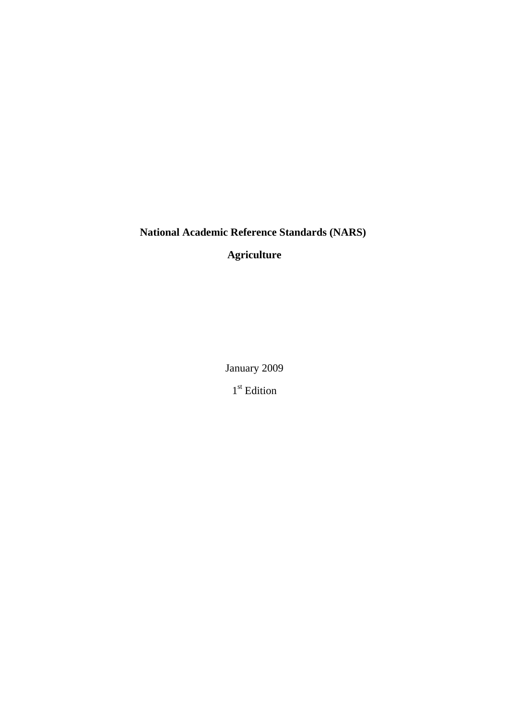# **National Academic Reference Standards (NARS)**

**Agriculture**

January 2009

1<sup>st</sup> Edition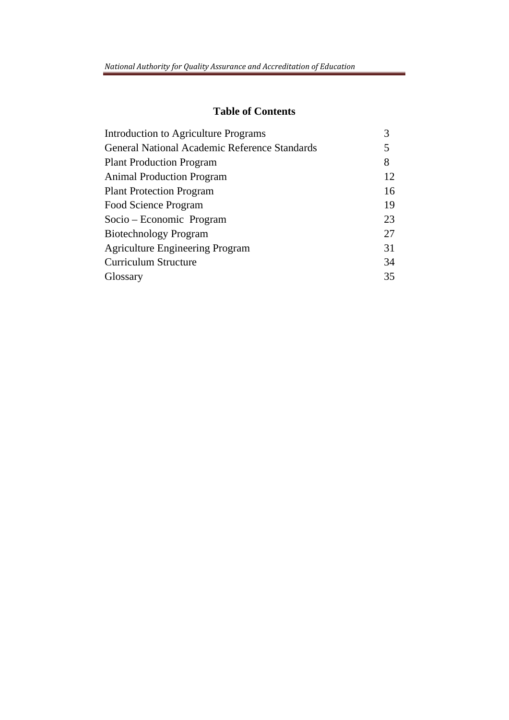# **Table of Contents**

| Introduction to Agriculture Programs                 |    |  |
|------------------------------------------------------|----|--|
| <b>General National Academic Reference Standards</b> |    |  |
| <b>Plant Production Program</b>                      | 8  |  |
| <b>Animal Production Program</b>                     | 12 |  |
| <b>Plant Protection Program</b>                      | 16 |  |
| Food Science Program                                 | 19 |  |
| Socio – Economic Program                             | 23 |  |
| <b>Biotechnology Program</b>                         | 27 |  |
| <b>Agriculture Engineering Program</b>               | 31 |  |
| <b>Curriculum Structure</b>                          | 34 |  |
| Glossary                                             | 35 |  |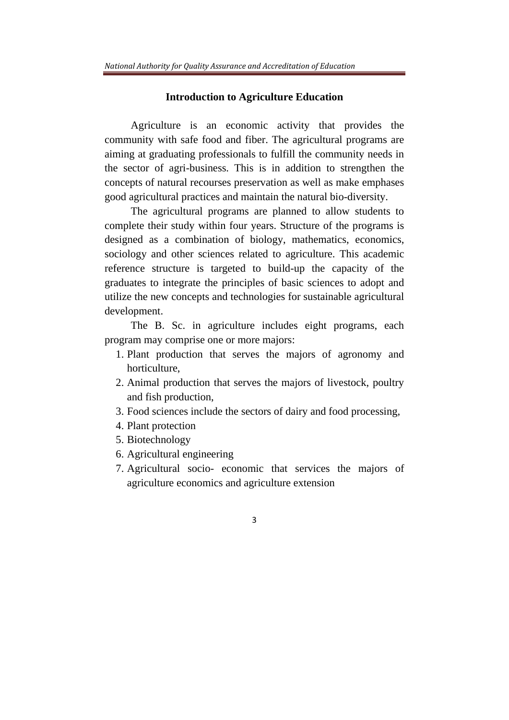#### **Introduction to Agriculture Education**

Agriculture is an economic activity that provides the community with safe food and fiber. The agricultural programs are aiming at graduating professionals to fulfill the community needs in the sector of agri-business. This is in addition to strengthen the concepts of natural recourses preservation as well as make emphases good agricultural practices and maintain the natural bio-diversity.

The agricultural programs are planned to allow students to complete their study within four years. Structure of the programs is designed as a combination of biology, mathematics, economics, sociology and other sciences related to agriculture. This academic reference structure is targeted to build-up the capacity of the graduates to integrate the principles of basic sciences to adopt and utilize the new concepts and technologies for sustainable agricultural development.

The B. Sc. in agriculture includes eight programs, each program may comprise one or more majors:

- 1. Plant production that serves the majors of agronomy and horticulture,
- 2. Animal production that serves the majors of livestock, poultry and fish production,
- 3. Food sciences include the sectors of dairy and food processing,
- 4. Plant protection
- 5. Biotechnology
- 6. Agricultural engineering
- 7. Agricultural socio- economic that services the majors of agriculture economics and agriculture extension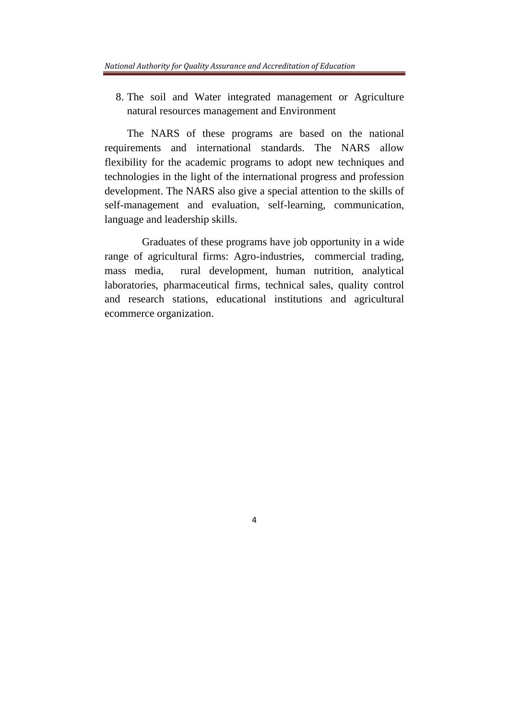8. The soil and Water integrated management or Agriculture natural resources management and Environment

The NARS of these programs are based on the national requirements and international standards. The NARS allow flexibility for the academic programs to adopt new techniques and technologies in the light of the international progress and profession development. The NARS also give a special attention to the skills of self-management and evaluation, self-learning, communication, language and leadership skills.

 Graduates of these programs have job opportunity in a wide range of agricultural firms: Agro-industries, commercial trading, mass media, rural development, human nutrition, analytical laboratories, pharmaceutical firms, technical sales, quality control and research stations, educational institutions and agricultural ecommerce organization.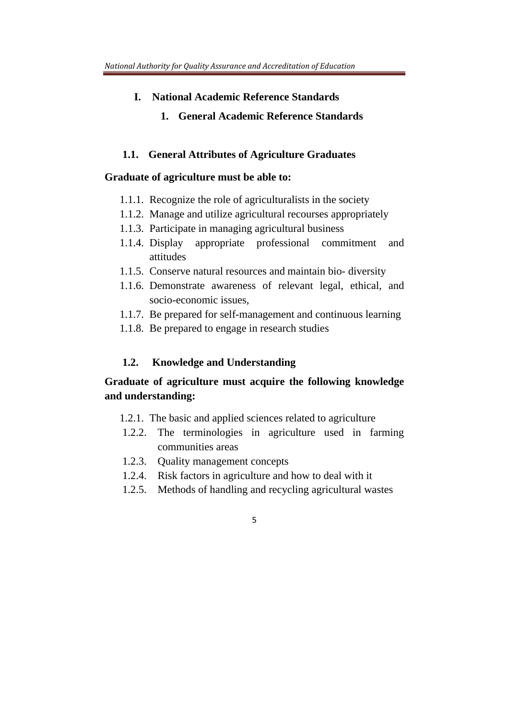- **I. National Academic Reference Standards** 
	- **1. General Academic Reference Standards**

#### **1.1. General Attributes of Agriculture Graduates**

#### **Graduate of agriculture must be able to:**

- 1.1.1. Recognize the role of agriculturalists in the society
- 1.1.2. Manage and utilize agricultural recourses appropriately
- 1.1.3. Participate in managing agricultural business
- 1.1.4. Display appropriate professional commitment and attitudes
- 1.1.5. Conserve natural resources and maintain bio- diversity
- 1.1.6. Demonstrate awareness of relevant legal, ethical, and socio-economic issues,
- 1.1.7. Be prepared for self-management and continuous learning
- 1.1.8. Be prepared to engage in research studies

#### **1.2. Knowledge and Understanding**

# **Graduate of agriculture must acquire the following knowledge and understanding:**

- 1.2.1. The basic and applied sciences related to agriculture
- 1.2.2. The terminologies in agriculture used in farming communities areas
- 1.2.3. Quality management concepts
- 1.2.4. Risk factors in agriculture and how to deal with it
- 1.2.5. Methods of handling and recycling agricultural wastes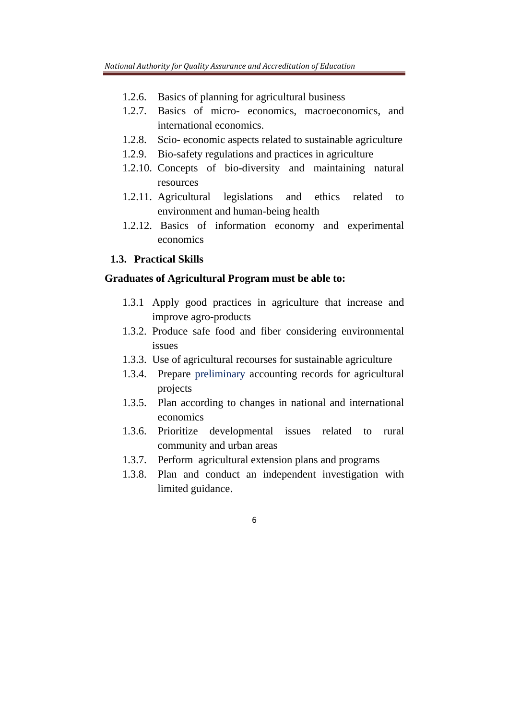- 1.2.6. Basics of planning for agricultural business
- 1.2.7. Basics of micro- economics, macroeconomics, and international economics.
- 1.2.8. Scio- economic aspects related to sustainable agriculture
- 1.2.9. Bio-safety regulations and practices in agriculture
- 1.2.10. Concepts of bio-diversity and maintaining natural resources
- 1.2.11. Agricultural legislations and ethics related to environment and human-being health
- 1.2.12. Basics of information economy and experimental economics

## **1.3. Practical Skills**

### **Graduates of Agricultural Program must be able to:**

- 1.3.1 Apply good practices in agriculture that increase and improve agro-products
- 1.3.2. Produce safe food and fiber considering environmental issues
- 1.3.3. Use of agricultural recourses for sustainable agriculture
- 1.3.4. Prepare preliminary accounting records for agricultural projects
- 1.3.5. Plan according to changes in national and international economics
- 1.3.6. Prioritize developmental issues related to rural community and urban areas
- 1.3.7. Perform agricultural extension plans and programs
- 1.3.8. Plan and conduct an independent investigation with limited guidance.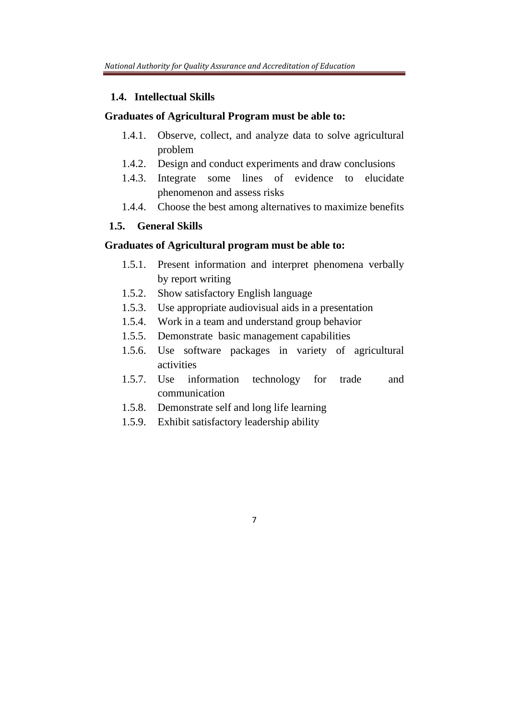#### **1.4. Intellectual Skills**

#### **Graduates of Agricultural Program must be able to:**

- 1.4.1. Observe, collect, and analyze data to solve agricultural problem
- 1.4.2. Design and conduct experiments and draw conclusions
- 1.4.3. Integrate some lines of evidence to elucidate phenomenon and assess risks
- 1.4.4. Choose the best among alternatives to maximize benefits

### **1.5. General Skills**

#### **Graduates of Agricultural program must be able to:**

- 1.5.1. Present information and interpret phenomena verbally by report writing
- 1.5.2. Show satisfactory English language
- 1.5.3. Use appropriate audiovisual aids in a presentation
- 1.5.4. Work in a team and understand group behavior
- 1.5.5. Demonstrate basic management capabilities
- 1.5.6. Use software packages in variety of agricultural activities
- 1.5.7. Use information technology for trade and communication

- 1.5.8. Demonstrate self and long life learning
- 1.5.9. Exhibit satisfactory leadership ability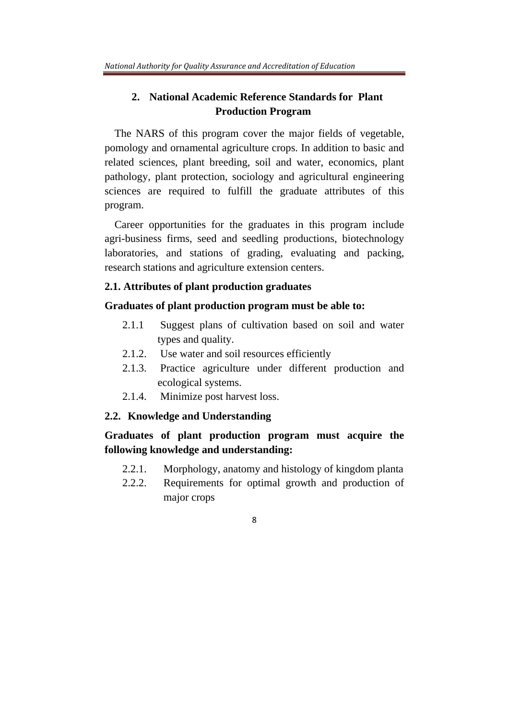# **2. National Academic Reference Standards for Plant Production Program**

 The NARS of this program cover the major fields of vegetable, pomology and ornamental agriculture crops. In addition to basic and related sciences, plant breeding, soil and water, economics, plant pathology, plant protection, sociology and agricultural engineering sciences are required to fulfill the graduate attributes of this program.

 Career opportunities for the graduates in this program include agri-business firms, seed and seedling productions, biotechnology laboratories, and stations of grading, evaluating and packing, research stations and agriculture extension centers.

### **2.1. Attributes of plant production graduates**

#### **Graduates of plant production program must be able to:**

- 2.1.1 Suggest plans of cultivation based on soil and water types and quality.
- 2.1.2. Use water and soil resources efficiently
- 2.1.3. Practice agriculture under different production and ecological systems.
- 2.1.4. Minimize post harvest loss.

#### **2.2. Knowledge and Understanding**

**Graduates of plant production program must acquire the following knowledge and understanding:** 

- 2.2.1. Morphology, anatomy and histology of kingdom planta
- 2.2.2. Requirements for optimal growth and production of major crops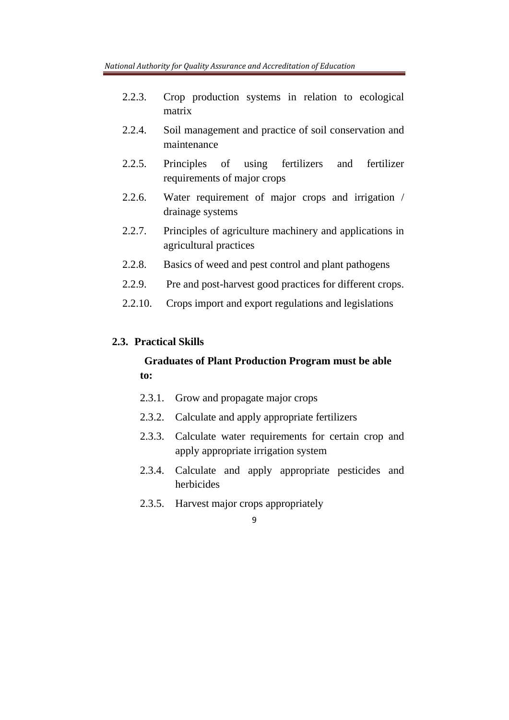- 2.2.3. Crop production systems in relation to ecological matrix
- 2.2.4. Soil management and practice of soil conservation and maintenance
- 2.2.5. Principles of using fertilizers and fertilizer requirements of major crops
- 2.2.6. Water requirement of major crops and irrigation / drainage systems
- 2.2.7. Principles of agriculture machinery and applications in agricultural practices
- 2.2.8. Basics of weed and pest control and plant pathogens
- 2.2.9. Pre and post-harvest good practices for different crops.
- 2.2.10. Crops import and export regulations and legislations

## **2.3. Practical Skills**

# **Graduates of Plant Production Program must be able to:**

- 2.3.1. Grow and propagate major crops
- 2.3.2. Calculate and apply appropriate fertilizers
- 2.3.3. Calculate water requirements for certain crop and apply appropriate irrigation system
- 2.3.4. Calculate and apply appropriate pesticides and herbicides
- 2.3.5. Harvest major crops appropriately
	- 9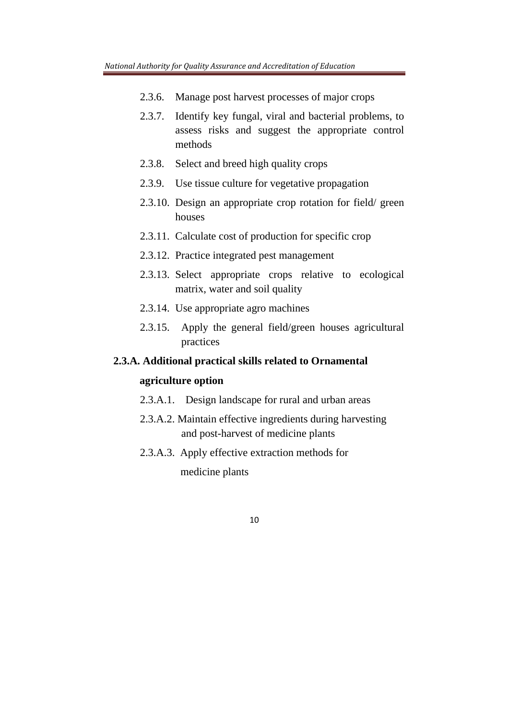- 2.3.6. Manage post harvest processes of major crops
- 2.3.7. Identify key fungal, viral and bacterial problems, to assess risks and suggest the appropriate control methods
- 2.3.8. Select and breed high quality crops
- 2.3.9. Use tissue culture for vegetative propagation
- 2.3.10. Design an appropriate crop rotation for field/ green houses
- 2.3.11. Calculate cost of production for specific crop
- 2.3.12. Practice integrated pest management
- 2.3.13. Select appropriate crops relative to ecological matrix, water and soil quality
- 2.3.14. Use appropriate agro machines
- 2.3.15. Apply the general field/green houses agricultural practices

# **2.3.A. Additional practical skills related to Ornamental**

# **agriculture option**

- 2.3.A.1. Design landscape for rural and urban areas
- 2.3.A.2. Maintain effective ingredients during harvesting and post-harvest of medicine plants
- 2.3.A.3. Apply effective extraction methods for

medicine plants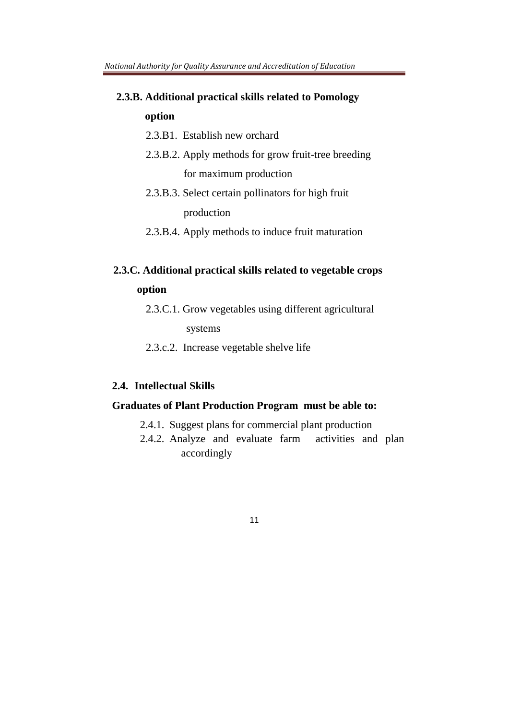# **2.3.B. Additional practical skills related to Pomology option**

- 2.3.B1. Establish new orchard
- 2.3.B.2. Apply methods for grow fruit-tree breeding for maximum production
- 2.3.B.3. Select certain pollinators for high fruit production
- 2.3.B.4. Apply methods to induce fruit maturation

# **2.3.C. Additional practical skills related to vegetable crops option**

2.3.C.1. Grow vegetables using different agricultural

systems

2.3.c.2. Increase vegetable shelve life

## **2.4. Intellectual Skills**

#### **Graduates of Plant Production Program must be able to:**

- 2.4.1. Suggest plans for commercial plant production
- 2.4.2. Analyze and evaluate farm activities and plan accordingly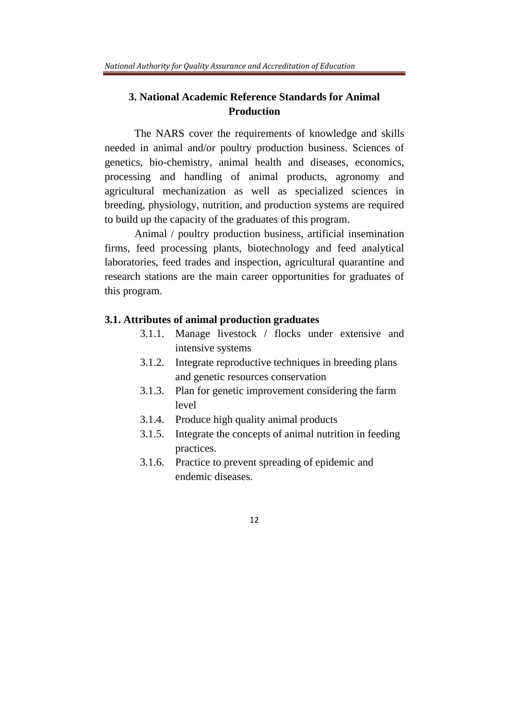# **3. National Academic Reference Standards for Animal Production**

The NARS cover the requirements of knowledge and skills needed in animal and/or poultry production business. Sciences of genetics, bio-chemistry, animal health and diseases, economics, processing and handling of animal products, agronomy and agricultural mechanization as well as specialized sciences in breeding, physiology, nutrition, and production systems are required to build up the capacity of the graduates of this program.

Animal / poultry production business, artificial insemination firms, feed processing plants, biotechnology and feed analytical laboratories, feed trades and inspection, agricultural quarantine and research stations are the main career opportunities for graduates of this program.

#### **3.1. Attributes of animal production graduates**

- 3.1.1. Manage livestock / flocks under extensive and intensive systems
- 3.1.2. Integrate reproductive techniques in breeding plans and genetic resources conservation
- 3.1.3. Plan for genetic improvement considering the farm level
- 3.1.4. Produce high quality animal products
- 3.1.5. Integrate the concepts of animal nutrition in feeding practices.
- 3.1.6. Practice to prevent spreading of epidemic and endemic diseases.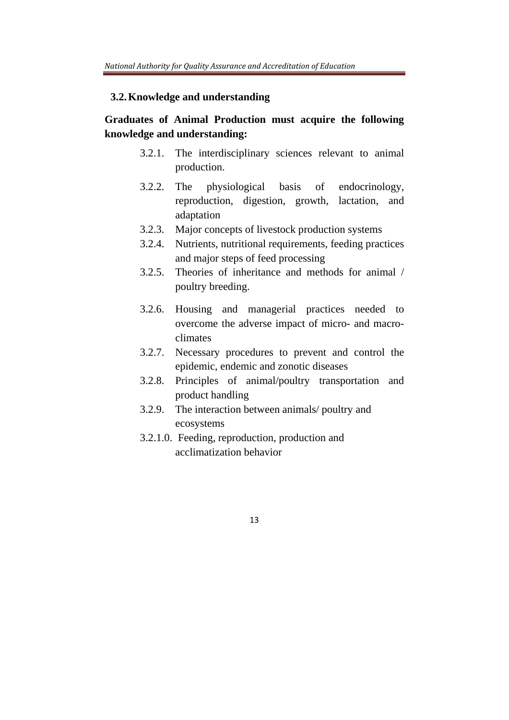# **3.2.Knowledge and understanding**

# **Graduates of Animal Production must acquire the following knowledge and understanding:**

- 3.2.1. The interdisciplinary sciences relevant to animal production.
- 3.2.2. The physiological basis of endocrinology, reproduction, digestion, growth, lactation, and adaptation
- 3.2.3. Major concepts of livestock production systems
- 3.2.4. Nutrients, nutritional requirements, feeding practices and major steps of feed processing
- 3.2.5. Theories of inheritance and methods for animal / poultry breeding.
- 3.2.6. Housing and managerial practices needed to overcome the adverse impact of micro- and macroclimates
- 3.2.7. Necessary procedures to prevent and control the epidemic, endemic and zonotic diseases
- 3.2.8. Principles of animal/poultry transportation and product handling
- 3.2.9. The interaction between animals/ poultry and ecosystems
- 3.2.1.0. Feeding, reproduction, production and acclimatization behavior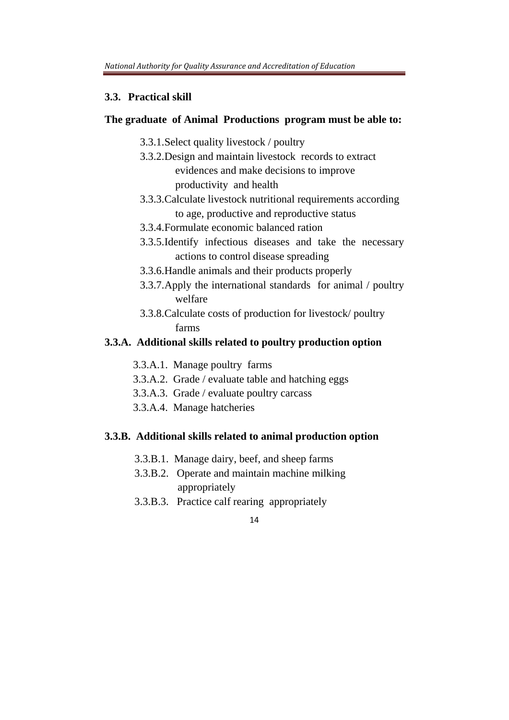#### **3.3. Practical skill**

## **The graduate of Animal Productions program must be able to:**

- 3.3.1.Select quality livestock / poultry
- 3.3.2.Design and maintain livestock records to extract evidences and make decisions to improve productivity and health
- 3.3.3.Calculate livestock nutritional requirements according to age, productive and reproductive status
- 3.3.4.Formulate economic balanced ration
- 3.3.5.Identify infectious diseases and take the necessary actions to control disease spreading
- 3.3.6.Handle animals and their products properly
- 3.3.7.Apply the international standards for animal / poultry welfare
- 3.3.8.Calculate costs of production for livestock/ poultry farms

### **3.3.A. Additional skills related to poultry production option**

- 3.3.A.1. Manage poultry farms
- 3.3.A.2. Grade / evaluate table and hatching eggs
- 3.3.A.3. Grade / evaluate poultry carcass
- 3.3.A.4. Manage hatcheries

### **3.3.B. Additional skills related to animal production option**

- 3.3.B.1. Manage dairy, beef, and sheep farms
- 3.3.B.2. Operate and maintain machine milking appropriately
- 3.3.B.3. Practice calf rearing appropriately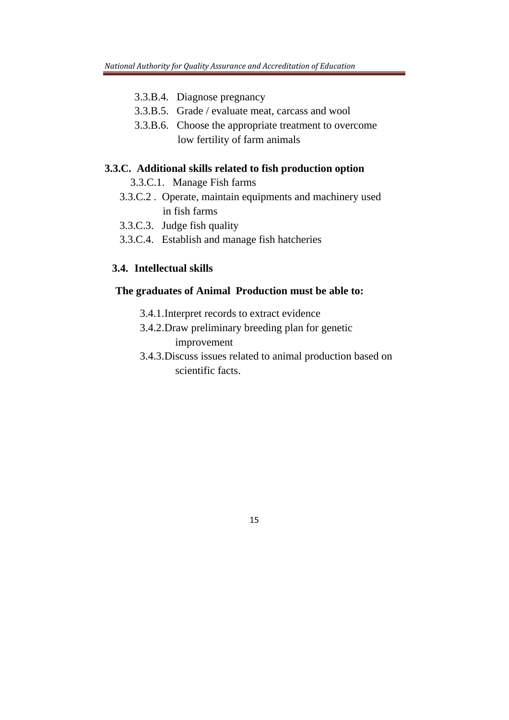- 3.3.B.4. Diagnose pregnancy
- 3.3.B.5. Grade / evaluate meat, carcass and wool
- 3.3.B.6. Choose the appropriate treatment to overcome low fertility of farm animals

#### **3.3.C. Additional skills related to fish production option**

3.3.C.1. Manage Fish farms

- 3.3.C.2 . Operate, maintain equipments and machinery used in fish farms
- 3.3.C.3. Judge fish quality
- 3.3.C.4. Establish and manage fish hatcheries

## **3.4. Intellectual skills**

### **The graduates of Animal Production must be able to:**

- 3.4.1.Interpret records to extract evidence
- 3.4.2.Draw preliminary breeding plan for genetic improvement
- 3.4.3.Discuss issues related to animal production based on scientific facts.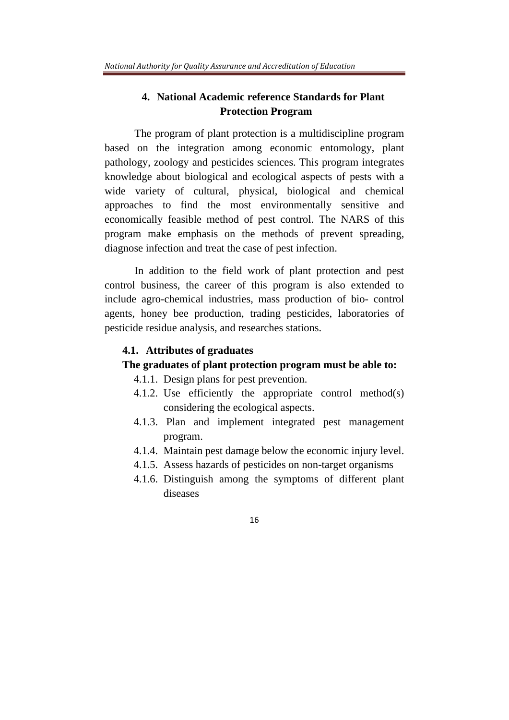# **4. National Academic reference Standards for Plant Protection Program**

The program of plant protection is a multidiscipline program based on the integration among economic entomology, plant pathology, zoology and pesticides sciences. This program integrates knowledge about biological and ecological aspects of pests with a wide variety of cultural, physical, biological and chemical approaches to find the most environmentally sensitive and economically feasible method of pest control. The NARS of this program make emphasis on the methods of prevent spreading, diagnose infection and treat the case of pest infection.

In addition to the field work of plant protection and pest control business, the career of this program is also extended to include agro-chemical industries, mass production of bio- control agents, honey bee production, trading pesticides, laboratories of pesticide residue analysis, and researches stations.

### **4.1. Attributes of graduates**

#### **The graduates of plant protection program must be able to:**

- 4.1.1. Design plans for pest prevention.
- 4.1.2. Use efficiently the appropriate control method(s) considering the ecological aspects.
- 4.1.3. Plan and implement integrated pest management program.
- 4.1.4. Maintain pest damage below the economic injury level.
- 4.1.5. Assess hazards of pesticides on non-target organisms
- 4.1.6. Distinguish among the symptoms of different plant diseases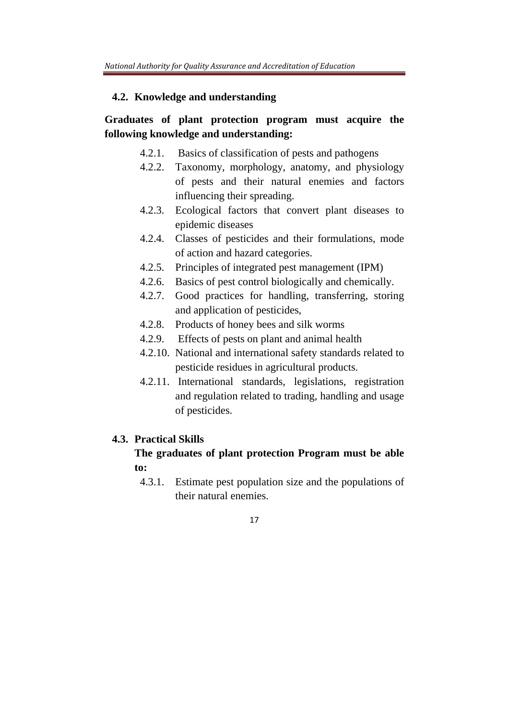#### **4.2. Knowledge and understanding**

# **Graduates of plant protection program must acquire the following knowledge and understanding:**

- 4.2.1. Basics of classification of pests and pathogens
- 4.2.2. Taxonomy, morphology, anatomy, and physiology of pests and their natural enemies and factors influencing their spreading.
- 4.2.3. Ecological factors that convert plant diseases to epidemic diseases
- 4.2.4. Classes of pesticides and their formulations, mode of action and hazard categories.
- 4.2.5. Principles of integrated pest management (IPM)
- 4.2.6. Basics of pest control biologically and chemically.
- 4.2.7. Good practices for handling, transferring, storing and application of pesticides,
- 4.2.8. Products of honey bees and silk worms
- 4.2.9. Effects of pests on plant and animal health
- 4.2.10. National and international safety standards related to pesticide residues in agricultural products.
- 4.2.11. International standards, legislations, registration and regulation related to trading, handling and usage of pesticides.

### **4.3. Practical Skills**

# **The graduates of plant protection Program must be able to:**

4.3.1. Estimate pest population size and the populations of their natural enemies.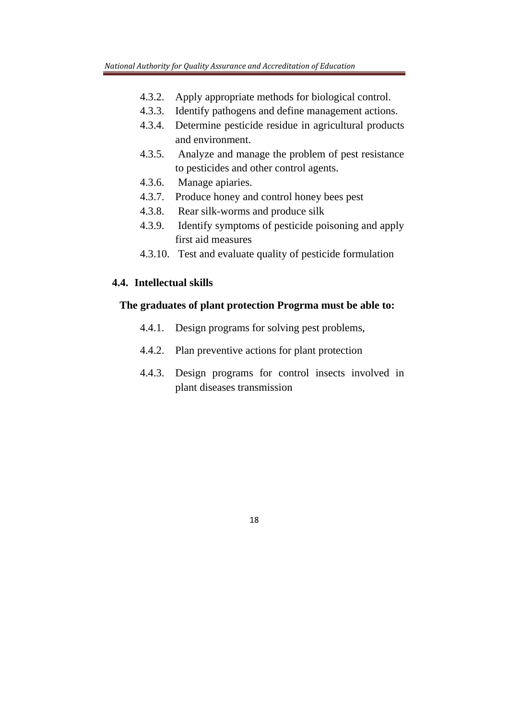- 4.3.2. Apply appropriate methods for biological control.
- 4.3.3. Identify pathogens and define management actions.
- 4.3.4. Determine pesticide residue in agricultural products and environment.
- 4.3.5. Analyze and manage the problem of pest resistance to pesticides and other control agents.
- 4.3.6. Manage apiaries.
- 4.3.7. Produce honey and control honey bees pest
- 4.3.8. Rear silk-worms and produce silk
- 4.3.9. Identify symptoms of pesticide poisoning and apply first aid measures
- 4.3.10. Test and evaluate quality of pesticide formulation

## **4.4. Intellectual skills**

## **The graduates of plant protection Progrma must be able to:**

- 4.4.1. Design programs for solving pest problems,
- 4.4.2. Plan preventive actions for plant protection
- 4.4.3. Design programs for control insects involved in plant diseases transmission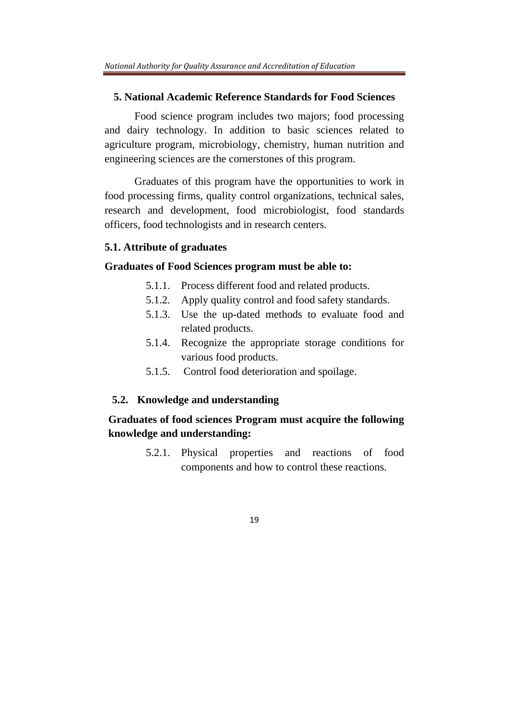## **5. National Academic Reference Standards for Food Sciences**

Food science program includes two majors; food processing and dairy technology. In addition to basic sciences related to agriculture program, microbiology, chemistry, human nutrition and engineering sciences are the cornerstones of this program.

Graduates of this program have the opportunities to work in food processing firms, quality control organizations, technical sales, research and development, food microbiologist, food standards officers, food technologists and in research centers.

#### **5.1. Attribute of graduates**

#### **Graduates of Food Sciences program must be able to:**

- 5.1.1. Process different food and related products.
- 5.1.2. Apply quality control and food safety standards.
- 5.1.3. Use the up-dated methods to evaluate food and related products.
- 5.1.4. Recognize the appropriate storage conditions for various food products.
- 5.1.5. Control food deterioration and spoilage.

#### **5.2. Knowledge and understanding**

# **Graduates of food sciences Program must acquire the following knowledge and understanding:**

5.2.1. Physical properties and reactions of food components and how to control these reactions.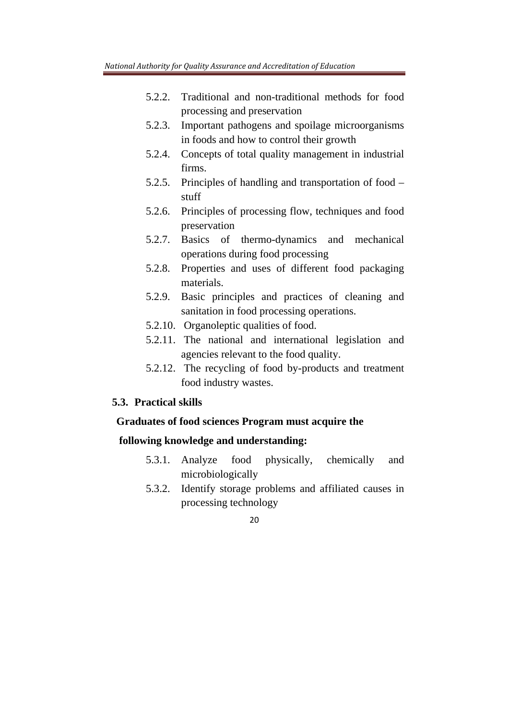- 5.2.2. Traditional and non-traditional methods for food processing and preservation
- 5.2.3. Important pathogens and spoilage microorganisms in foods and how to control their growth
- 5.2.4. Concepts of total quality management in industrial firms.
- 5.2.5. Principles of handling and transportation of food stuff
- 5.2.6. Principles of processing flow, techniques and food preservation
- 5.2.7. Basics of thermo-dynamics and mechanical operations during food processing
- 5.2.8. Properties and uses of different food packaging materials.
- 5.2.9. Basic principles and practices of cleaning and sanitation in food processing operations.
- 5.2.10. Organoleptic qualities of food.
- 5.2.11. The national and international legislation and agencies relevant to the food quality.
- 5.2.12. The recycling of food by-products and treatment food industry wastes.

### **5.3. Practical skills**

## **Graduates of food sciences Program must acquire the**

# **following knowledge and understanding:**

- 5.3.1. Analyze food physically, chemically and microbiologically
- 5.3.2. Identify storage problems and affiliated causes in processing technology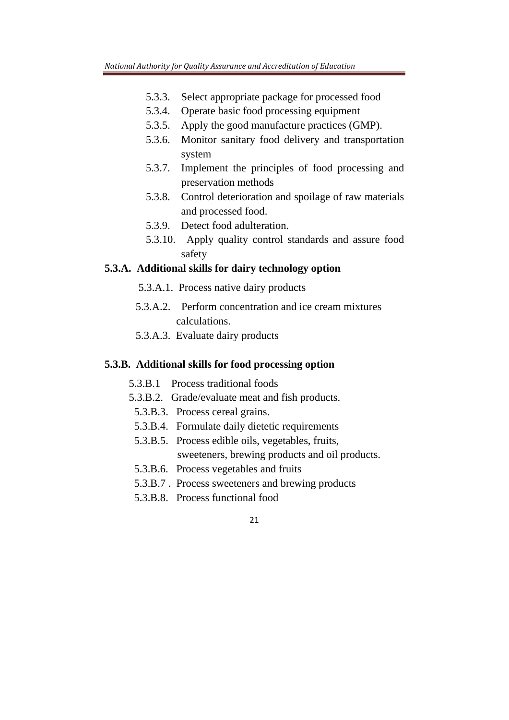- 5.3.3. Select appropriate package for processed food
- 5.3.4. Operate basic food processing equipment
- 5.3.5. Apply the good manufacture practices (GMP).
- 5.3.6. Monitor sanitary food delivery and transportation system
- 5.3.7. Implement the principles of food processing and preservation methods
- 5.3.8. Control deterioration and spoilage of raw materials and processed food.
- 5.3.9. Detect food adulteration.
- 5.3.10. Apply quality control standards and assure food safety

### **5.3.A. Additional skills for dairy technology option**

- 5.3.A.1. Process native dairy products
- 5.3.A.2. Perform concentration and ice cream mixtures calculations.
- 5.3.A.3. Evaluate dairy products

#### **5.3.B. Additional skills for food processing option**

- 5.3.B.1 Process traditional foods
- 5.3.B.2. Grade/evaluate meat and fish products.
- 5.3.B.3. Process cereal grains.
- 5.3.B.4. Formulate daily dietetic requirements
- 5.3.B.5. Process edible oils, vegetables, fruits, sweeteners, brewing products and oil products.
- 5.3.B.6. Process vegetables and fruits
- 5.3.B.7 . Process sweeteners and brewing products
- 5.3.B.8. Process functional food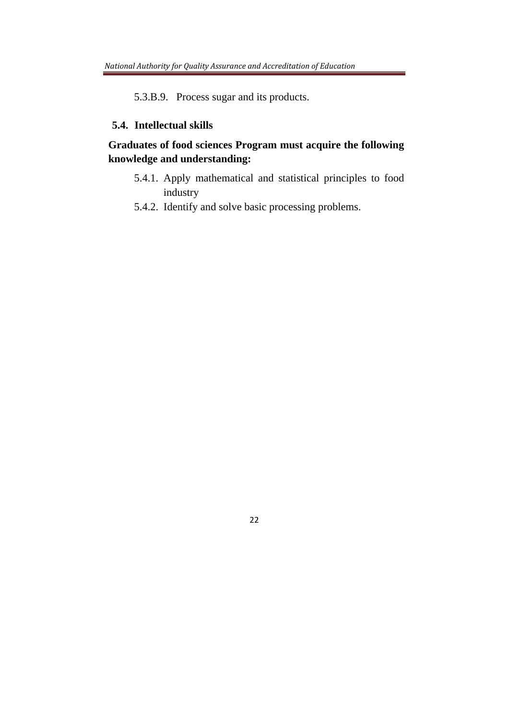5.3.B.9. Process sugar and its products.

## **5.4. Intellectual skills**

# **Graduates of food sciences Program must acquire the following knowledge and understanding:**

- 5.4.1. Apply mathematical and statistical principles to food industry
- 5.4.2. Identify and solve basic processing problems.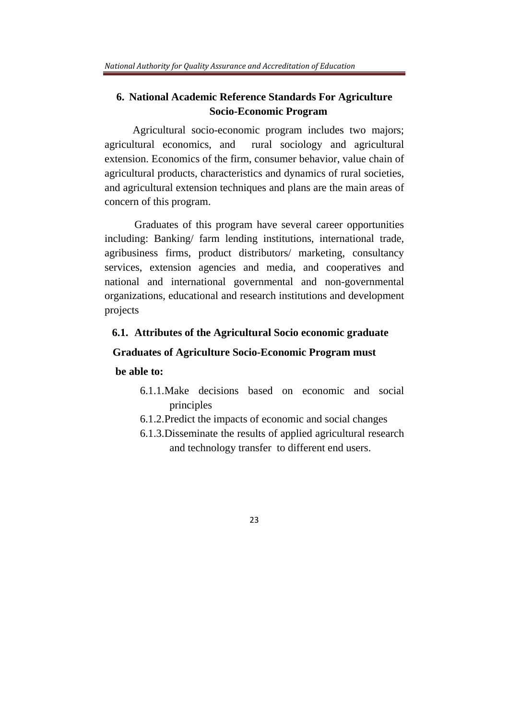# **6. National Academic Reference Standards For Agriculture Socio-Economic Program**

Agricultural socio-economic program includes two majors; agricultural economics, and rural sociology and agricultural extension. Economics of the firm, consumer behavior, value chain of agricultural products, characteristics and dynamics of rural societies, and agricultural extension techniques and plans are the main areas of concern of this program.

Graduates of this program have several career opportunities including: Banking/ farm lending institutions, international trade, agribusiness firms, product distributors/ marketing, consultancy services, extension agencies and media, and cooperatives and national and international governmental and non-governmental organizations, educational and research institutions and development projects

### **6.1. Attributes of the Agricultural Socio economic graduate**

### **Graduates of Agriculture Socio-Economic Program must**

## **be able to:**

- 6.1.1.Make decisions based on economic and social principles
- 6.1.2.Predict the impacts of economic and social changes
- 6.1.3.Disseminate the results of applied agricultural research and technology transfer to different end users.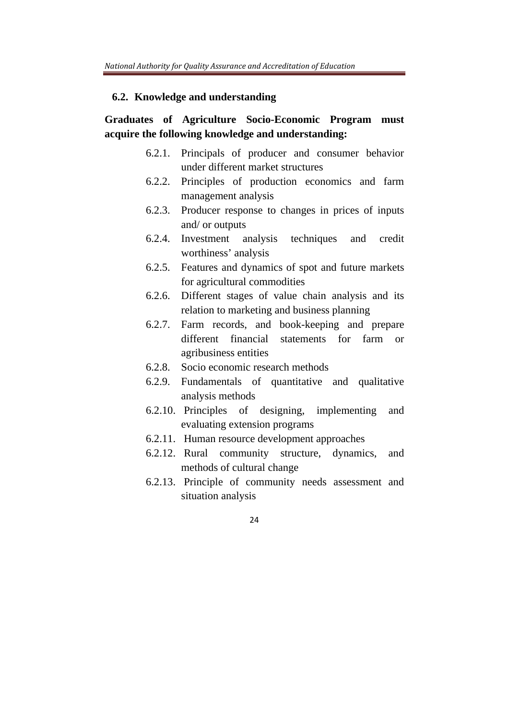#### **6.2. Knowledge and understanding**

# **Graduates of Agriculture Socio-Economic Program must acquire the following knowledge and understanding:**

- 6.2.1. Principals of producer and consumer behavior under different market structures
- 6.2.2. Principles of production economics and farm management analysis
- 6.2.3. Producer response to changes in prices of inputs and/ or outputs
- 6.2.4. Investment analysis techniques and credit worthiness' analysis
- 6.2.5. Features and dynamics of spot and future markets for agricultural commodities
- 6.2.6. Different stages of value chain analysis and its relation to marketing and business planning
- 6.2.7. Farm records, and book-keeping and prepare different financial statements for farm or agribusiness entities
- 6.2.8. Socio economic research methods
- 6.2.9. Fundamentals of quantitative and qualitative analysis methods
- 6.2.10. Principles of designing, implementing and evaluating extension programs
- 6.2.11. Human resource development approaches
- 6.2.12. Rural community structure, dynamics, and methods of cultural change
- 6.2.13. Principle of community needs assessment and situation analysis
	- $24$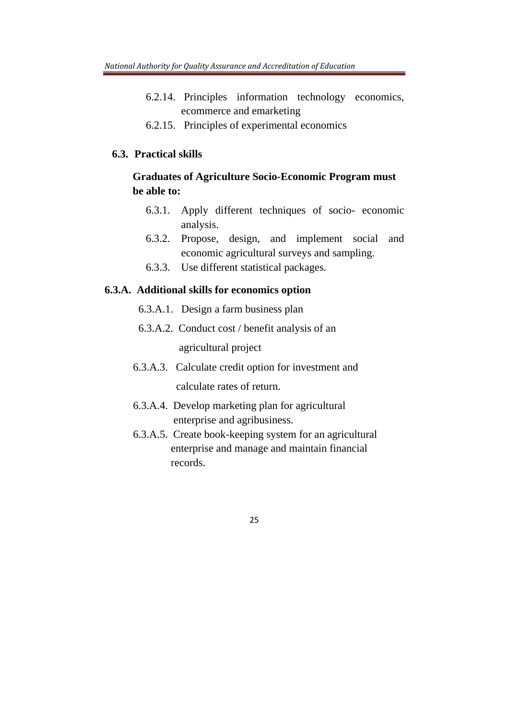- 6.2.14. Principles information technology economics, ecommerce and emarketing
- 6.2.15. Principles of experimental economics

### **6.3. Practical skills**

# **Graduates of Agriculture Socio-Economic Program must be able to:**

- 6.3.1. Apply different techniques of socio- economic analysis.
- 6.3.2. Propose, design, and implement social and economic agricultural surveys and sampling.
- 6.3.3. Use different statistical packages.

#### **6.3.A. Additional skills for economics option**

- 6.3.A.1. Design a farm business plan
- 6.3.A.2. Conduct cost / benefit analysis of an agricultural project
- 6.3.A.3. Calculate credit option for investment and calculate rates of return.
- 6.3.A.4. Develop marketing plan for agricultural enterprise and agribusiness.
- 6.3.A.5. Create book-keeping system for an agricultural enterprise and manage and maintain financial records.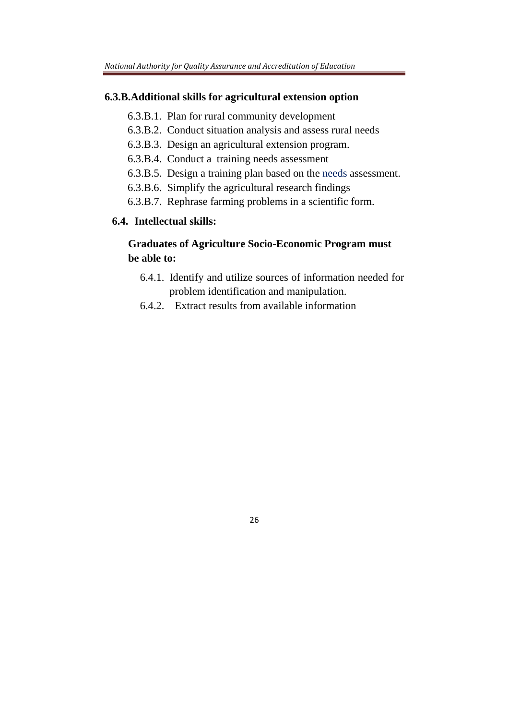#### **6.3.B.Additional skills for agricultural extension option**

- 6.3.B.1. Plan for rural community development
- 6.3.B.2. Conduct situation analysis and assess rural needs
- 6.3.B.3. Design an agricultural extension program.
- 6.3.B.4. Conduct a training needs assessment
- 6.3.B.5. Design a training plan based on the needs assessment.
- 6.3.B.6. Simplify the agricultural research findings
- 6.3.B.7. Rephrase farming problems in a scientific form.

# **6.4. Intellectual skills:**

# **Graduates of Agriculture Socio-Economic Program must be able to:**

- 6.4.1. Identify and utilize sources of information needed for problem identification and manipulation.
- 6.4.2. Extract results from available information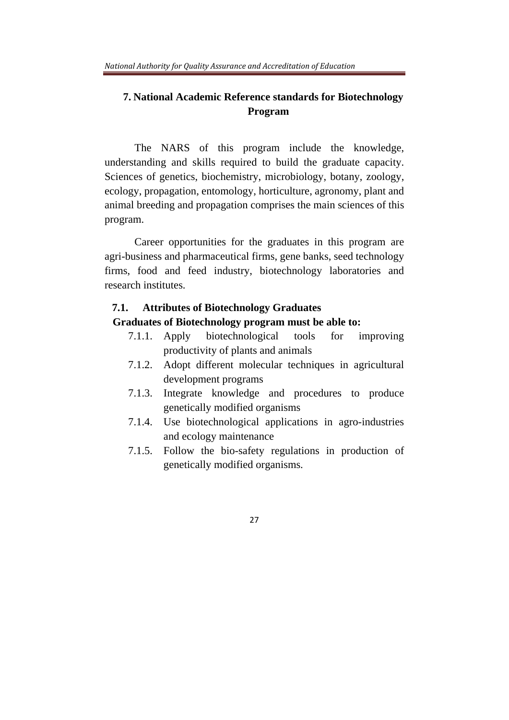# **7. National Academic Reference standards for Biotechnology Program**

The NARS of this program include the knowledge, understanding and skills required to build the graduate capacity. Sciences of genetics, biochemistry, microbiology, botany, zoology, ecology, propagation, entomology, horticulture, agronomy, plant and animal breeding and propagation comprises the main sciences of this program.

Career opportunities for the graduates in this program are agri-business and pharmaceutical firms, gene banks, seed technology firms, food and feed industry, biotechnology laboratories and research institutes.

#### **7.1. Attributes of Biotechnology Graduates**

#### **Graduates of Biotechnology program must be able to:**

- 7.1.1. Apply biotechnological tools for improving productivity of plants and animals
- 7.1.2. Adopt different molecular techniques in agricultural development programs
- 7.1.3. Integrate knowledge and procedures to produce genetically modified organisms
- 7.1.4. Use biotechnological applications in agro-industries and ecology maintenance
- 7.1.5. Follow the bio-safety regulations in production of genetically modified organisms.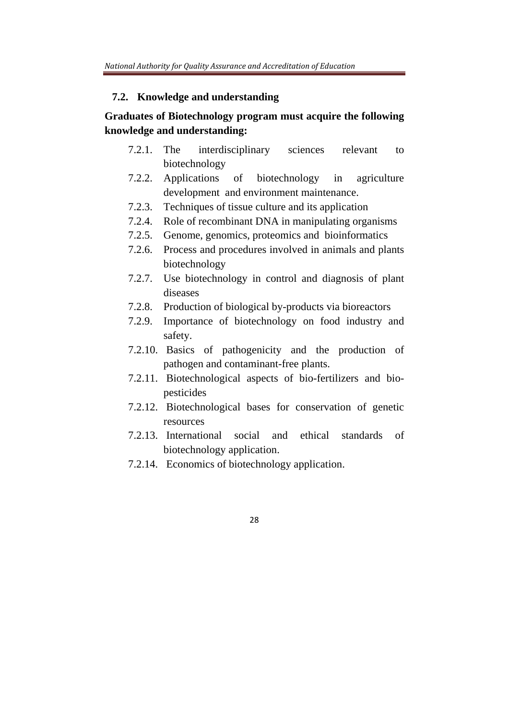#### **7.2. Knowledge and understanding**

# **Graduates of Biotechnology program must acquire the following knowledge and understanding:**

- 7.2.1. The interdisciplinary sciences relevant to biotechnology
- 7.2.2. Applications of biotechnology in agriculture development and environment maintenance.
- 7.2.3. Techniques of tissue culture and its application
- 7.2.4. Role of recombinant DNA in manipulating organisms
- 7.2.5. Genome, genomics, proteomics and bioinformatics
- 7.2.6. Process and procedures involved in animals and plants biotechnology
- 7.2.7. Use biotechnology in control and diagnosis of plant diseases
- 7.2.8. Production of biological by-products via bioreactors
- 7.2.9. Importance of biotechnology on food industry and safety.
- 7.2.10. Basics of pathogenicity and the production of pathogen and contaminant-free plants.
- 7.2.11. Biotechnological aspects of bio-fertilizers and biopesticides
- 7.2.12. Biotechnological bases for conservation of genetic resources
- 7.2.13. International social and ethical standards of biotechnology application.
- 7.2.14. Economics of biotechnology application.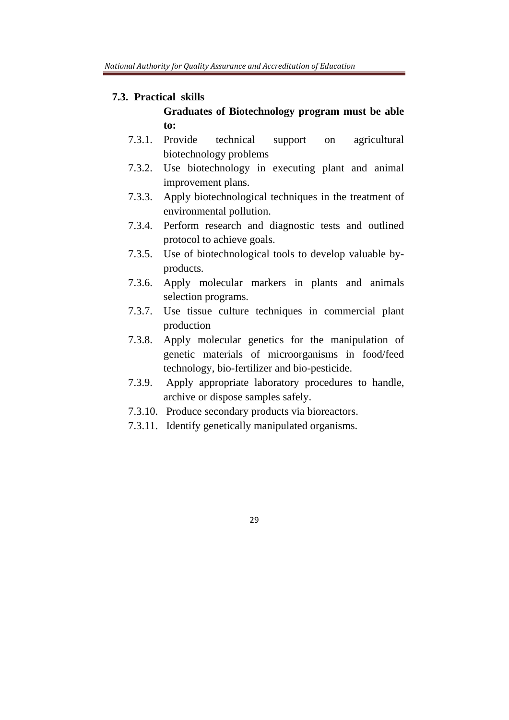### **7.3. Practical skills**

# **Graduates of Biotechnology program must be able to:**

- 7.3.1. Provide technical support on agricultural biotechnology problems
- 7.3.2. Use biotechnology in executing plant and animal improvement plans.
- 7.3.3. Apply biotechnological techniques in the treatment of environmental pollution.
- 7.3.4. Perform research and diagnostic tests and outlined protocol to achieve goals.
- 7.3.5. Use of biotechnological tools to develop valuable byproducts.
- 7.3.6. Apply molecular markers in plants and animals selection programs.
- 7.3.7. Use tissue culture techniques in commercial plant production
- 7.3.8. Apply molecular genetics for the manipulation of genetic materials of microorganisms in food/feed technology, bio-fertilizer and bio-pesticide.
- 7.3.9. Apply appropriate laboratory procedures to handle, archive or dispose samples safely.
- 7.3.10. Produce secondary products via bioreactors.
- 7.3.11. Identify genetically manipulated organisms.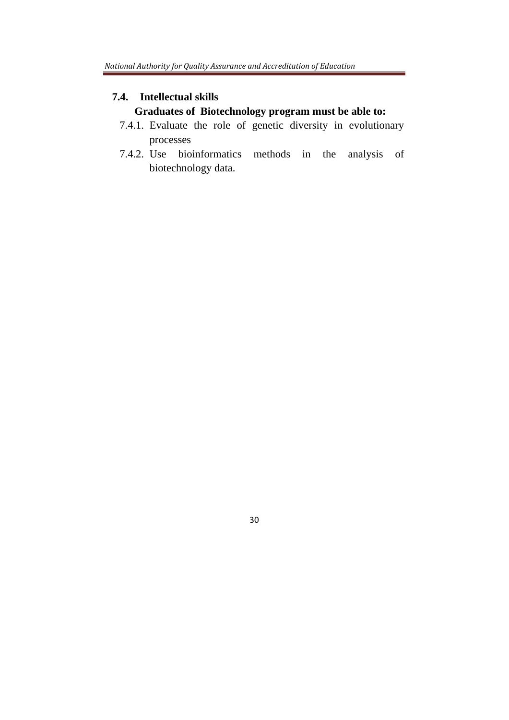## **7.4. Intellectual skills**

# **Graduates of Biotechnology program must be able to:**

- 7.4.1. Evaluate the role of genetic diversity in evolutionary processes
- 7.4.2. Use bioinformatics methods in the analysis of biotechnology data.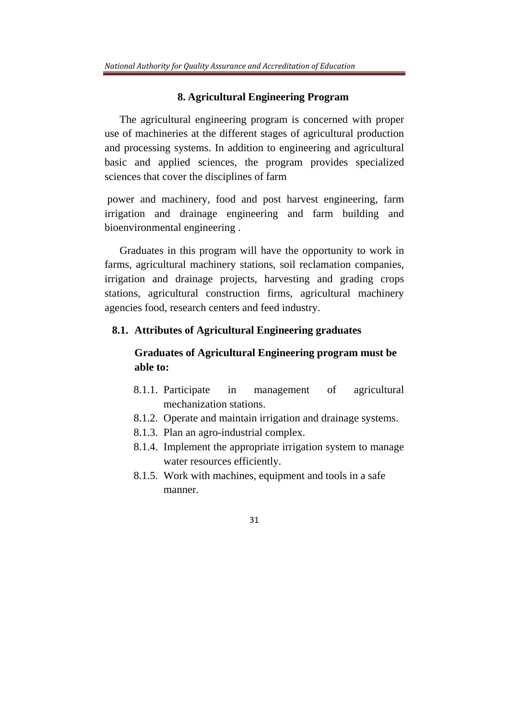#### **8. Agricultural Engineering Program**

The agricultural engineering program is concerned with proper use of machineries at the different stages of agricultural production and processing systems. In addition to engineering and agricultural basic and applied sciences, the program provides specialized sciences that cover the disciplines of farm

 power and machinery, food and post harvest engineering, farm irrigation and drainage engineering and farm building and bioenvironmental engineering .

Graduates in this program will have the opportunity to work in farms, agricultural machinery stations, soil reclamation companies, irrigation and drainage projects, harvesting and grading crops stations, agricultural construction firms, agricultural machinery agencies food, research centers and feed industry.

#### **8.1. Attributes of Agricultural Engineering graduates**

# **Graduates of Agricultural Engineering program must be able to:**

- 8.1.1. Participate in management of agricultural mechanization stations.
- 8.1.2. Operate and maintain irrigation and drainage systems.
- 8.1.3. Plan an agro-industrial complex.
- 8.1.4. Implement the appropriate irrigation system to manage water resources efficiently.
- 8.1.5. Work with machines, equipment and tools in a safe manner.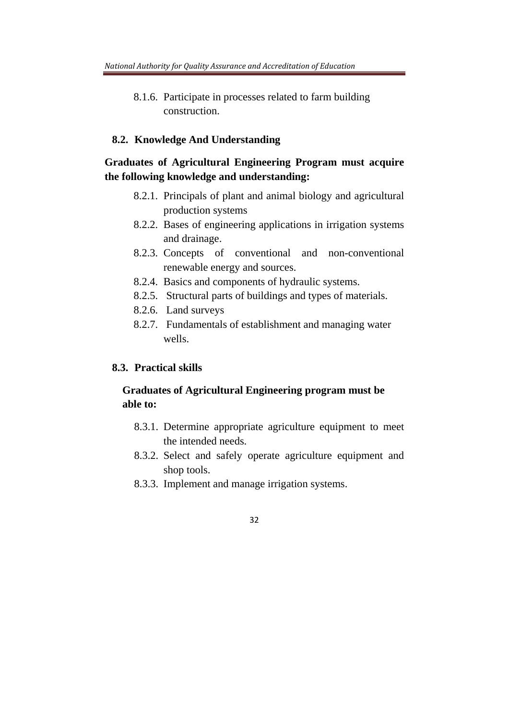8.1.6. Participate in processes related to farm building construction.

### **8.2. Knowledge And Understanding**

# **Graduates of Agricultural Engineering Program must acquire the following knowledge and understanding:**

- 8.2.1. Principals of plant and animal biology and agricultural production systems
- 8.2.2. Bases of engineering applications in irrigation systems and drainage.
- 8.2.3. Concepts of conventional and non-conventional renewable energy and sources.
- 8.2.4. Basics and components of hydraulic systems.
- 8.2.5. Structural parts of buildings and types of materials.
- 8.2.6. Land surveys
- 8.2.7. Fundamentals of establishment and managing water wells.

#### **8.3. Practical skills**

# **Graduates of Agricultural Engineering program must be able to:**

- 8.3.1. Determine appropriate agriculture equipment to meet the intended needs.
- 8.3.2. Select and safely operate agriculture equipment and shop tools.
- 8.3.3. Implement and manage irrigation systems.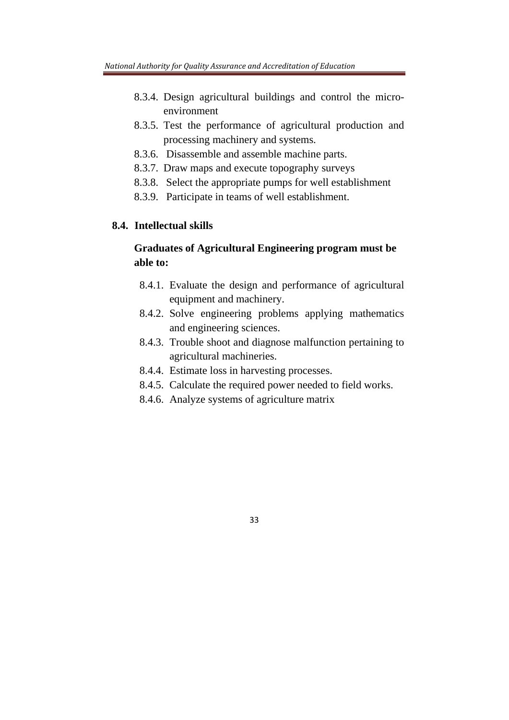- 8.3.4. Design agricultural buildings and control the microenvironment
- 8.3.5. Test the performance of agricultural production and processing machinery and systems.
- 8.3.6. Disassemble and assemble machine parts.
- 8.3.7. Draw maps and execute topography surveys
- 8.3.8. Select the appropriate pumps for well establishment
- 8.3.9. Participate in teams of well establishment.

## **8.4. Intellectual skills**

# **Graduates of Agricultural Engineering program must be able to:**

- 8.4.1. Evaluate the design and performance of agricultural equipment and machinery.
- 8.4.2. Solve engineering problems applying mathematics and engineering sciences.
- 8.4.3. Trouble shoot and diagnose malfunction pertaining to agricultural machineries.
- 8.4.4. Estimate loss in harvesting processes.
- 8.4.5. Calculate the required power needed to field works.
- 8.4.6. Analyze systems of agriculture matrix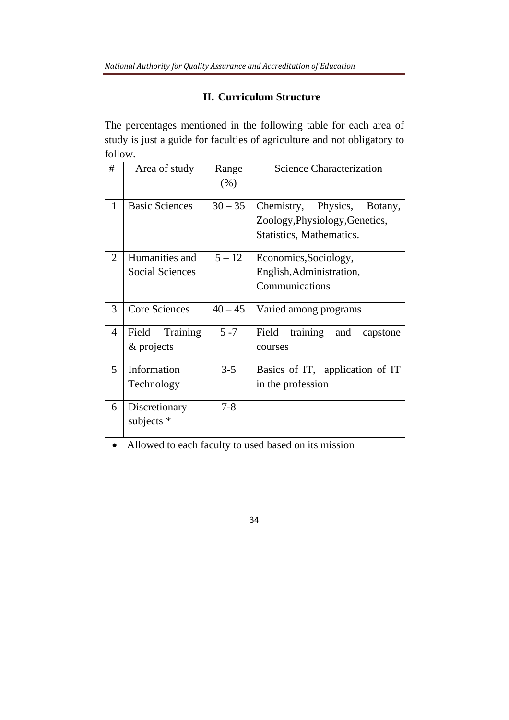# **II. Curriculum Structure**

The percentages mentioned in the following table for each area of study is just a guide for faculties of agriculture and not obligatory to follow.

| #              | Area of study                            | Range<br>(% ) | <b>Science Characterization</b>                                                              |
|----------------|------------------------------------------|---------------|----------------------------------------------------------------------------------------------|
| 1              | <b>Basic Sciences</b>                    | $30 - 35$     | Chemistry, Physics,<br>Botany,<br>Zoology, Physiology, Genetics,<br>Statistics, Mathematics. |
| $\overline{2}$ | Humanities and<br><b>Social Sciences</b> | $5 - 12$      | Economics, Sociology,<br>English, Administration,<br>Communications                          |
| 3              | <b>Core Sciences</b>                     | $40 - 45$     | Varied among programs                                                                        |
| $\overline{4}$ | Field<br>Training<br>& projects          | $5 - 7$       | Field<br>training<br>and<br>capstone<br>courses                                              |
| 5              | Information<br>Technology                | $3 - 5$       | Basics of IT, application of IT<br>in the profession                                         |
| 6              | Discretionary<br>subjects *              | $7 - 8$       |                                                                                              |

Allowed to each faculty to used based on its mission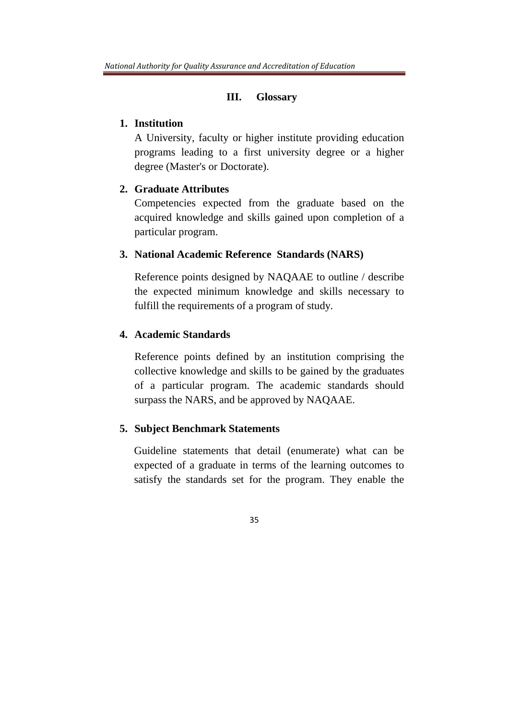#### **III. Glossary**

### **1. Institution**

A University, faculty or higher institute providing education programs leading to a first university degree or a higher degree (Master's or Doctorate).

### **2. Graduate Attributes**

Competencies expected from the graduate based on the acquired knowledge and skills gained upon completion of a particular program.

#### **3. National Academic Reference Standards (NARS)**

Reference points designed by NAQAAE to outline / describe the expected minimum knowledge and skills necessary to fulfill the requirements of a program of study*.*

# **4. Academic Standards**

Reference points defined by an institution comprising the collective knowledge and skills to be gained by the graduates of a particular program. The academic standards should surpass the NARS, and be approved by NAQAAE.

### **5. Subject Benchmark Statements**

Guideline statements that detail (enumerate) what can be expected of a graduate in terms of the learning outcomes to satisfy the standards set for the program. They enable the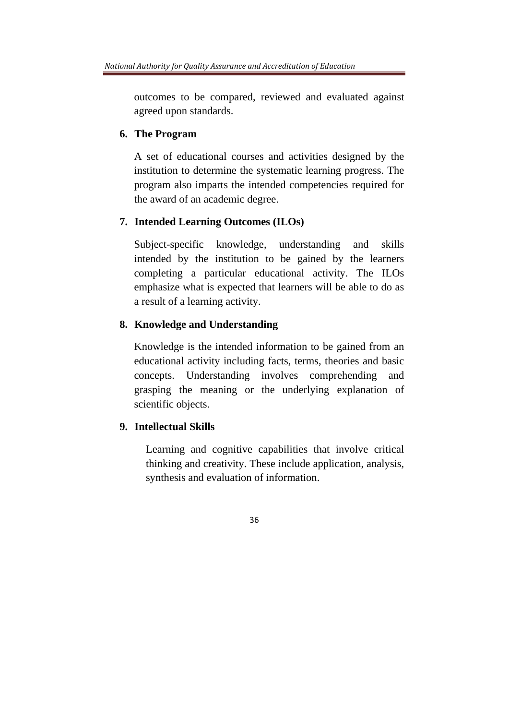outcomes to be compared, reviewed and evaluated against agreed upon standards.

#### **6. The Program**

A set of educational courses and activities designed by the institution to determine the systematic learning progress. The program also imparts the intended competencies required for the award of an academic degree.

## **7. Intended Learning Outcomes (ILOs)**

Subject-specific knowledge, understanding and skills intended by the institution to be gained by the learners completing a particular educational activity. The ILOs emphasize what is expected that learners will be able to do as a result of a learning activity.

### **8. Knowledge and Understanding**

Knowledge is the intended information to be gained from an educational activity including facts, terms, theories and basic concepts. Understanding involves comprehending and grasping the meaning or the underlying explanation of scientific objects.

# **9. Intellectual Skills**

Learning and cognitive capabilities that involve critical thinking and creativity. These include application, analysis, synthesis and evaluation of information.